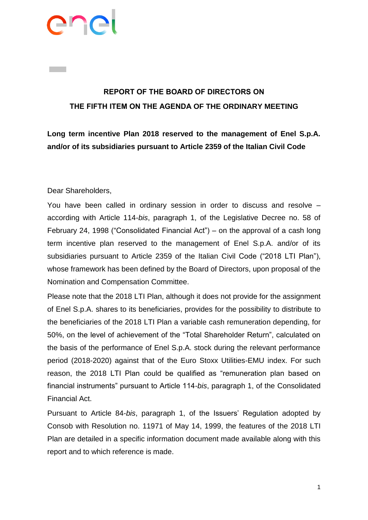

## **REPORT OF THE BOARD OF DIRECTORS ON THE FIFTH ITEM ON THE AGENDA OF THE ORDINARY MEETING**

**Long term incentive Plan 2018 reserved to the management of Enel S.p.A. and/or of its subsidiaries pursuant to Article 2359 of the Italian Civil Code**

Dear Shareholders,

You have been called in ordinary session in order to discuss and resolve – according with Article 114-*bis*, paragraph 1, of the Legislative Decree no. 58 of February 24, 1998 ("Consolidated Financial Act") – on the approval of a cash long term incentive plan reserved to the management of Enel S.p.A. and/or of its subsidiaries pursuant to Article 2359 of the Italian Civil Code ("2018 LTI Plan"), whose framework has been defined by the Board of Directors, upon proposal of the Nomination and Compensation Committee.

Please note that the 2018 LTI Plan, although it does not provide for the assignment of Enel S.p.A. shares to its beneficiaries, provides for the possibility to distribute to the beneficiaries of the 2018 LTI Plan a variable cash remuneration depending, for 50%, on the level of achievement of the "Total Shareholder Return", calculated on the basis of the performance of Enel S.p.A. stock during the relevant performance period (2018-2020) against that of the Euro Stoxx Utilities-EMU index. For such reason, the 2018 LTI Plan could be qualified as "remuneration plan based on financial instruments" pursuant to Article 114-*bis*, paragraph 1, of the Consolidated Financial Act.

Pursuant to Article 84-*bis*, paragraph 1, of the Issuers' Regulation adopted by Consob with Resolution no. 11971 of May 14, 1999, the features of the 2018 LTI Plan are detailed in a specific information document made available along with this report and to which reference is made.